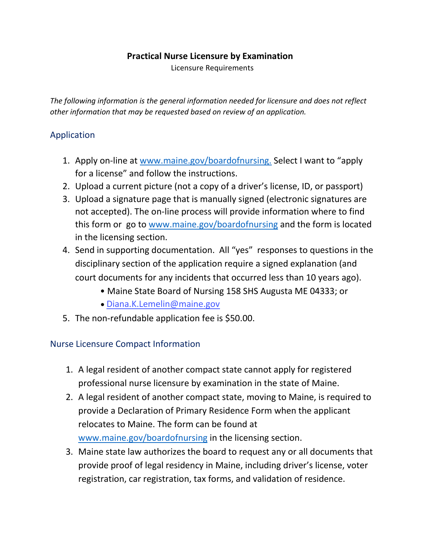### **Practical Nurse Licensure by Examination**

Licensure Requirements

*The following information is the general information needed for licensure and does not reflect other information that may be requested based on review of an application.* 

# Application

- 1. Apply on-line at [www.maine.gov/boardofnursing.](http://www.maine.gov/boardofnursing) Select I want to "apply for a license" and follow the instructions.
- 2. Upload a current picture (not a copy of a driver's license, ID, or passport)
- 3. Upload a signature page that is manually signed (electronic signatures are not accepted). The on-line process will provide information where to find this form or go to [www.maine.gov/boardofnursing](http://www.maine.gov/boardofnursing) and the form is located in the licensing section.
- 4. Send in supporting documentation. All "yes" responses to questions in the disciplinary section of the application require a signed explanation (and court documents for any incidents that occurred less than 10 years ago).
	- Maine State Board of Nursing 158 SHS Augusta ME 04333; or
	- [Diana.K.Lemel](mailto:Diana.K.Lemelin@maine.gov)in@maine.gov
- 5. The non-refundable application fee is \$50.00.

# Nurse Licensure Compact Information

- 1. A legal resident of another compact state cannot apply for registered professional nurse licensure by examination in the state of Maine.
- 2. A legal resident of another compact state, moving to Maine, is required to provide a Declaration of Primary Residence Form when the applicant relocates to Maine. The form can be found at [www.maine.gov/boardofnursing](http://www.maine.gov/boardofnursing) in the licensing section.
- 3. Maine state law authorizes the board to request any or all documents that provide proof of legal residency in Maine, including driver's license, voter registration, car registration, tax forms, and validation of residence.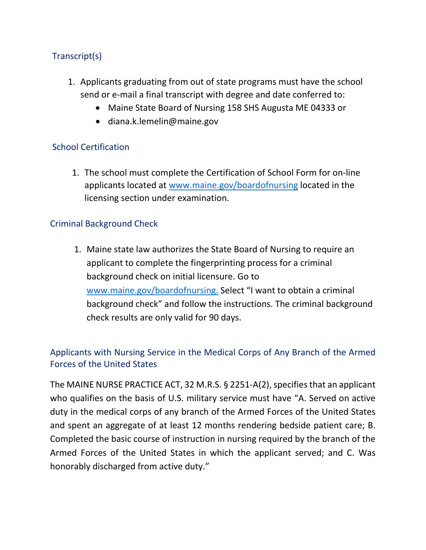# Transcript(s)

- 1. Applicants graduating from out of state programs must have the school send or e-mail a final transcript with degree and date conferred to:
	- Maine State Board of Nursing 158 SHS Augusta ME 04333 or
	- diana.k.lemelin@maine.gov

## School Certification

1. The school must complete the Certification of School Form for on-line applicants located at [www.maine.gov/boardofnursing](http://www.maine.gov/boardofnursing) located in the licensing section under examination.

#### Criminal Background Check

1. Maine state law authorizes the State Board of Nursing to require an applicant to complete the fingerprinting process for a criminal background check on initial licensure. Go to [www.maine.gov/boardofnursing.](http://www.maine.gov/boardofnursing) Select "I want to obtain a criminal background check" and follow the instructions. The criminal background check results are only valid for 90 days.

# Applicants with Nursing Service in the Medical Corps of Any Branch of the Armed Forces of the United States

The MAINE NURSE PRACTICE ACT, 32 M.R.S. § 2251-A(2), specifies that an applicant who qualifies on the basis of U.S. military service must have "A. Served on active duty in the medical corps of any branch of the Armed Forces of the United States and spent an aggregate of at least 12 months rendering bedside patient care; B. Completed the basic course of instruction in nursing required by the branch of the Armed Forces of the United States in which the applicant served; and C. Was honorably discharged from active duty."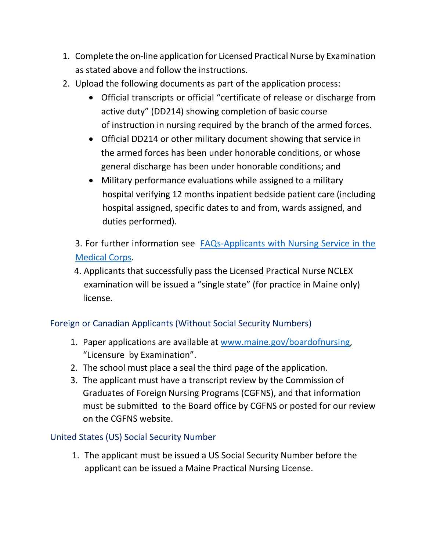- 1. Complete the on-line application for Licensed Practical Nurse by Examination as stated above and follow the instructions.
- 2. Upload the following documents as part of the application process:
	- Official transcripts or official "certificate of release or discharge from active duty" (DD214) showing completion of basic course of instruction in nursing required by the branch of the armed forces.
	- Official DD214 or other military document showing that service in the armed forces has been under honorable conditions, or whose general discharge has been under honorable conditions; and
	- Military performance evaluations while assigned to a military hospital verifying 12 months inpatient bedside patient care (including hospital assigned, specific dates to and from, wards assigned, and duties performed).
	- 3. For further information see **FAQs-Applicants with Nursing Service in the** [Medical Corps.](https://www.maine.gov/boardofnursing/licensing/FAQs%20for%20Applicants%20with%20Nursing%20Service%20in%20the%20Medical%20Corps%20of%20Any%20Branch%20of%20the%20Armed%20Forces%20of%20the%20United%20States.pdf)
	- 4. Applicants that successfully pass the Licensed Practical Nurse NCLEX examination will be issued a "single state" (for practice in Maine only) license.

# Foreign or Canadian Applicants (Without Social Security Numbers)

- 1. Paper applications are available at [www.maine.gov/boardofnursing,](http://www.maine.gov/boardofnursing) "Licensure by Examination".
- 2. The school must place a seal the third page of the application.
- 3. The applicant must have a transcript review by the Commission of Graduates of Foreign Nursing Programs (CGFNS), and that information must be submitted to the Board office by CGFNS or posted for our review on the CGFNS website.

# United States (US) Social Security Number

1. The applicant must be issued a US Social Security Number before the applicant can be issued a Maine Practical Nursing License.